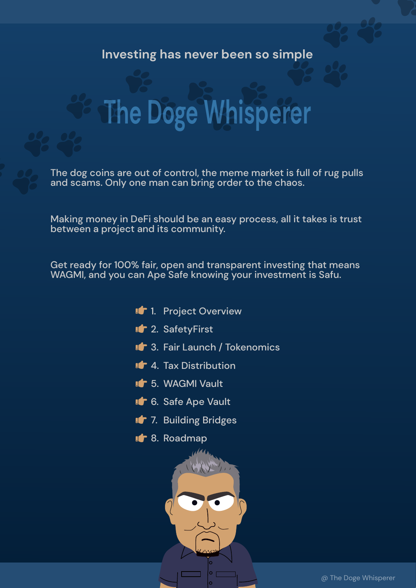#### **Investing has never been so simple**

## **The Doge Whisperer**

The dog coins are out of control, the meme market is full of rug pulls and scams. Only one man can bring order to the chaos.

Making money in DeFi should be an easy process, all it takes is trust between a project and its community.

Get ready for 100% fair, open and transparent investing that means WAGMI, and you can Ape Safe knowing your investment is Safu.

> 1. Project Overview 2. SafetyFirst 3. Fair Launch / Tokenomics 4. Tax Distribution 5. WAGMI Vault **16.** Safe Ape Vault 7. Building Bridges 8. Roadmap

> > @ The Doge Whisperer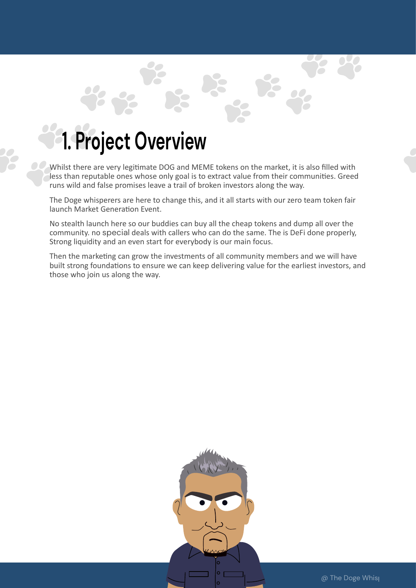#### **1. Project Overview**

Whilst there are very legitimate DOG and MEME tokens on the market, it is also filled with less than reputable ones whose only goal is to extract value from their communities. Greed runs wild and false promises leave a trail of broken investors along the way.

The Doge whisperers are here to change this, and it all starts with our zero team token fair launch Market Generation Event.

No stealth launch here so our buddies can buy all the cheap tokens and dump all over the community. no special deals with callers who can do the same. The is DeFi done properly, Strong liquidity and an even start for everybody is our main focus.

Then the marketing can grow the investments of all community members and we will have built strong foundations to ensure we can keep delivering value for the earliest investors, and those who join us along the way.

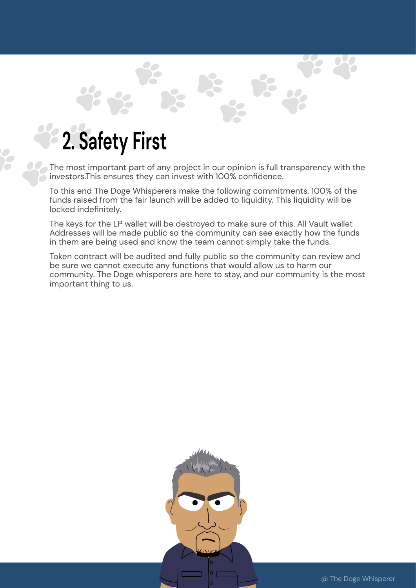### **2. Safety First**

 $\sum_{i=1}^{n}$ 

The most important part of any project in our opinion is full transparency with the  $\sim$  investors.This ensures they can invest with 100% confidence.

To this end The Doge Whisperers make the following commitments. 100% of the funds raised from the fair launch will be added to liquidity. This liquidity will be locked indefinitely.

The keys for the LP wallet will be destroyed to make sure of this. All Vault wallet Addresses will be made public so the community can see exactly how the funds in them are being used and know the team cannot simply take the funds.

Token contract will be audited and fully public so the community can review and be sure we cannot execute any functions that would allow us to harm our community. The Doge whisperers are here to stay, and our community is the most important thing to us.

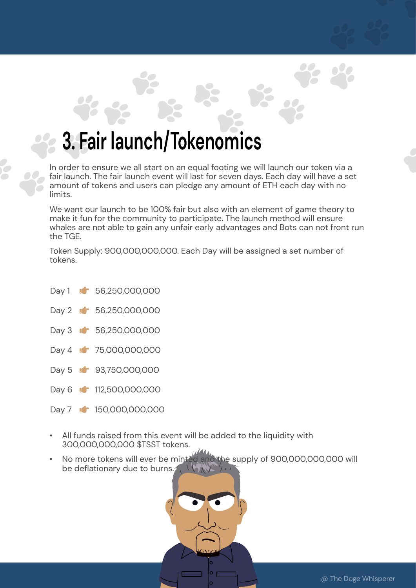#### **3. Fair launch/Tokenomics**

In order to ensure we all start on an equal footing we will launch our token via a fair launch. The fair launch event will last for seven days. Each day will have a set amount of tokens and users can pledge any amount of ETH each day with no limits.

We want our launch to be 100% fair but also with an element of game theory to make it fun for the community to participate. The launch method will ensure whales are not able to gain any unfair early advantages and Bots can not front run the TGE.

Token Supply: 900,000,000,000. Each Day will be assigned a set number of tokens.

- Day 1 **1** 56,250,000,000 Day 2 **1** 56,250,000,000 Day 3 **16** 56,250,000,000 Day 4 **1** 75,000,000,000 Day 5 **6** 93,750,000,000 Day 6 **12**,500,000,000
- Day 7 **1** 150,000,000,000
- All funds raised from this event will be added to the liquidity with 300,000,000,000 \$TSST tokens.
- No more tokens will ever be minted and the supply of 900,000,000,000 will be deflationary due to burns.

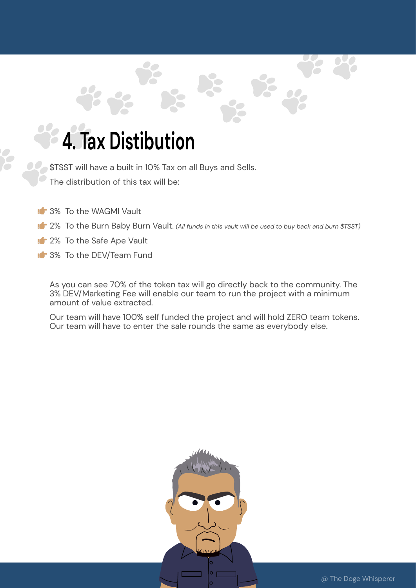### **4. Tax Distibution**

\$TSST will have a built in 10% Tax on all Buys and Sells.

The distribution of this tax will be:

- **1** 3% To the WAGMI Vault
- **14** 2% To the Burn Baby Burn Vault. (All funds in this vault will be used to buy back and burn \$TSST)
- **1** 2% To the Safe Ape Vault
- **1** 3% To the DEV/Team Fund

As you can see 70% of the token tax will go directly back to the community. The 3% DEV/Marketing Fee will enable our team to run the project with a minimum amount of value extracted.

Our team will have 100% self funded the project and will hold ZERO team tokens. Our team will have to enter the sale rounds the same as everybody else.

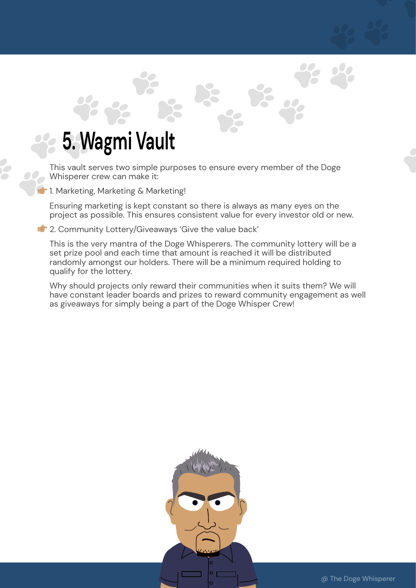### **5. Wagmi Vault**

This vault serves two simple purposes to ensure every member of the Doge Whisperer crew can make it:

**1.** Marketing, Marketing & Marketing!

Ensuring marketing is kept constant so there is always as many eyes on the project as possible. This ensures consistent value for every investor old or new.

**1** 2. Community Lottery/Giveaways 'Give the value back'

This is the very mantra of the Doge Whisperers. The community lottery will be a set prize pool and each time that amount is reached it will be distributed randomly amongst our holders. There will be a minimum required holding to qualify for the lottery.

Why should projects only reward their communities when it suits them? We will have constant leader boards and prizes to reward community engagement as well as giveaways for simply being a part of the Doge Whisper Crew!

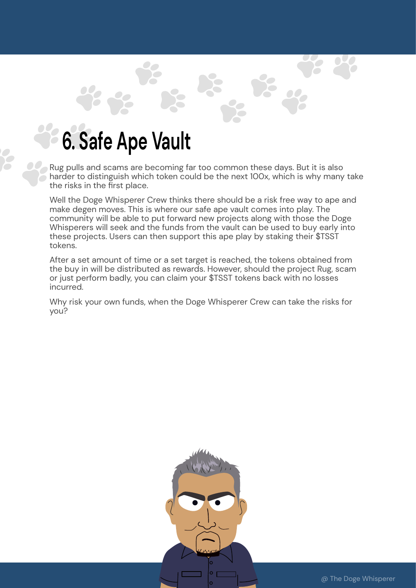### **6. Safe Ape Vault**

Rug pulls and scams are becoming far too common these days. But it is also  $\sim$  harder to distinguish which token could be the next 100x, which is why many take the risks in the first place.

Well the Doge Whisperer Crew thinks there should be a risk free way to ape and make degen moves. This is where our safe ape vault comes into play. The community will be able to put forward new projects along with those the Doge Whisperers will seek and the funds from the vault can be used to buy early into these projects. Users can then support this ape play by staking their \$TSST tokens.

After a set amount of time or a set target is reached, the tokens obtained from the buy in will be distributed as rewards. However, should the project Rug, scam or just perform badly, you can claim your \$TSST tokens back with no losses incurred.

Why risk your own funds, when the Doge Whisperer Crew can take the risks for you?

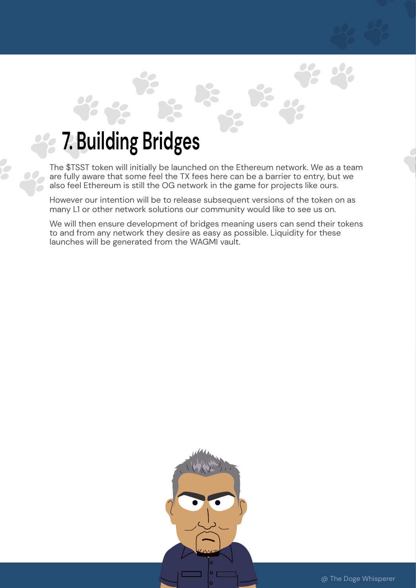### **7. Building Bridges**

 $\Box$ 

The \$TSST token will initially be launched on the Ethereum network. We as a team are fully aware that some feel the TX fees here can be a barrier to entry, but we also feel Ethereum is still the OG network in the game for projects like ours.

However our intention will be to release subsequent versions of the token on as many L1 or other network solutions our community would like to see us on.

We will then ensure development of bridges meaning users can send their tokens to and from any network they desire as easy as possible. Liquidity for these launches will be generated from the WAGMI vault.